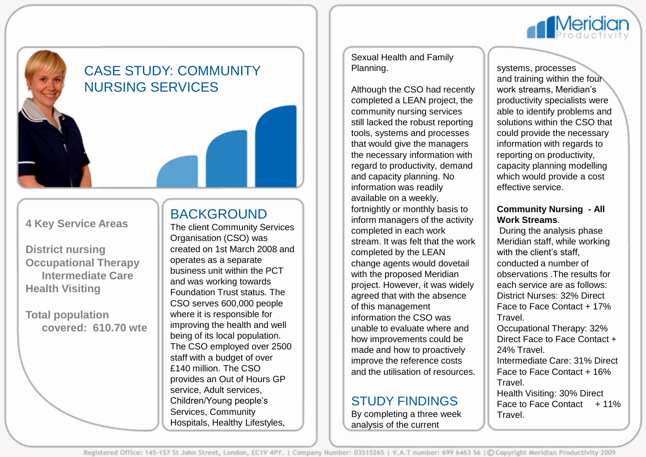

# CASE STUDY: COMMUNITY NURSING SERVICES

### **4 Key Service Areas**

**District nursing Occupational Therapy Intermediate Care Health Visiting**

**Total population covered: 610.70 wte**

### BACKGROUND

The client Community Services Organisation (CSO) was created on 1st March 2008 and operates as a separate business unit within the PCT and was working towards Foundation Trust status. The CSO serves 600,000 people where it is responsible for improving the health and well being of its local population. The CSO employed over 2500 staff with a budget of over £140 million. The CSO provides an Out of Hours GP service, Adult services, Children/Young people's Services, Community Hospitals, Healthy Lifestyles,

Sexual Health and Family Planning.

Although the CSO had recently completed a LEAN project, the community nursing services still lacked the robust reporting tools, systems and processes that would give the managers the necessary information with regard to productivity, demand and capacity planning. No information was readily available on a weekly, fortnightly or monthly basis to inform managers of the activity completed in each work stream. It was felt that the work completed by the LEAN change agents would dovetail with the proposed Meridian project. However, it was widely agreed that with the absence of this management information the CSO was unable to evaluate where and how improvements could be made and how to proactively improve the reference costs and the utilisation of resources.

## STUDY FINDINGS

By completing a three week analysis of the current

systems, processes and training within the four work streams, Meridian's productivity specialists were able to identify problems and solutions within the CSO that could provide the necessary information with regards to reporting on productivity, capacity planning modelling which would provide a cost effective service.

#### **Community Nursing - All Work Streams**.

During the analysis phase Meridian staff, while working with the client's staff. conducted a number of observations .The results for each service are as follows: District Nurses: 32% Direct Face to Face Contact + 17% Travel.

Occupational Therapy: 32% Direct Face to Face Contact + 24% Travel.

Intermediate Care: 31% Direct Face to Face Contact + 16% Travel.

Health Visiting: 30% Direct Face to Face Contact  $+11\%$ Travel.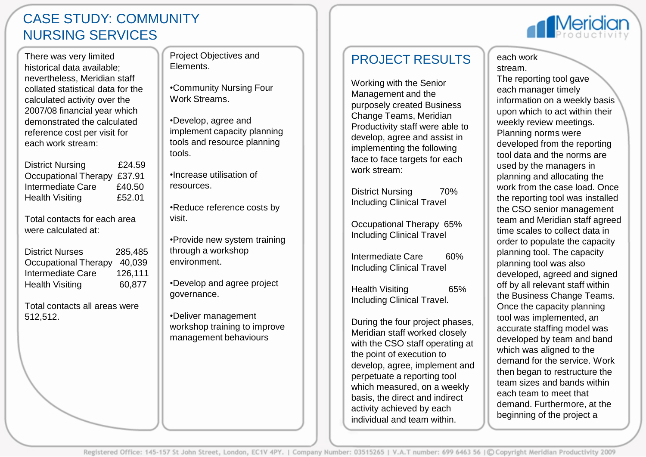### CASE STUDY: COMMUNITY NURSING SERVICES

There was very limited historical data available; nevertheless, Meridian staff collated statistical data for the calculated activity over the 2007/08 financial year which demonstrated the calculated reference cost per visit for each work stream:

| <b>District Nursing</b>     | £24.59 |
|-----------------------------|--------|
| Occupational Therapy £37.91 |        |
| Intermediate Care           | £40.50 |
| <b>Health Visiting</b>      | £52.01 |

Total contacts for each area were calculated at:

| <b>District Nurses</b> | 285.485 |
|------------------------|---------|
| Occupational Therapy   | 40.039  |
| Intermediate Care      | 126.111 |
| <b>Health Visiting</b> | 60.877  |

Total contacts all areas were 512,512.

Project Objectives and Elements.

•Community Nursing Four Work Streams.

•Develop, agree and implement capacity planning tools and resource planning tools.

•Increase utilisation of resources.

•Reduce reference costs by visit.

•Provide new system training through a workshop environment.

•Develop and agree project governance.

•Deliver management workshop training to improve management behaviours

### PROJECT RESULTS

Working with the Senior Management and the purposely created Business Change Teams, Meridian Productivity staff were able to develop, agree and assist in implementing the following face to face targets for each work stream:

District Nursing 70% Including Clinical Travel

Occupational Therapy 65% Including Clinical Travel

Intermediate Care 60% Including Clinical Travel

Health Visiting 65% Including Clinical Travel.

During the four project phases, Meridian staff worked closely with the CSO staff operating at the point of execution to develop, agree, implement and perpetuate a reporting tool which measured, on a weekly basis, the direct and indirect activity achieved by each individual and team within.

#### each work stream.

The reporting tool gave each manager timely information on a weekly basis upon which to act within their weekly review meetings. Planning norms were developed from the reporting tool data and the norms are used by the managers in planning and allocating the work from the case load. Once the reporting tool was installed the CSO senior management team and Meridian staff agreed time scales to collect data in order to populate the capacity planning tool. The capacity planning tool was also developed, agreed and signed off by all relevant staff within the Business Change Teams. Once the capacity planning tool was implemented, an accurate staffing model was developed by team and band which was aligned to the demand for the service. Work then began to restructure the team sizes and bands within each team to meet that demand. Furthermore, at the beginning of the project a

**Meridio**